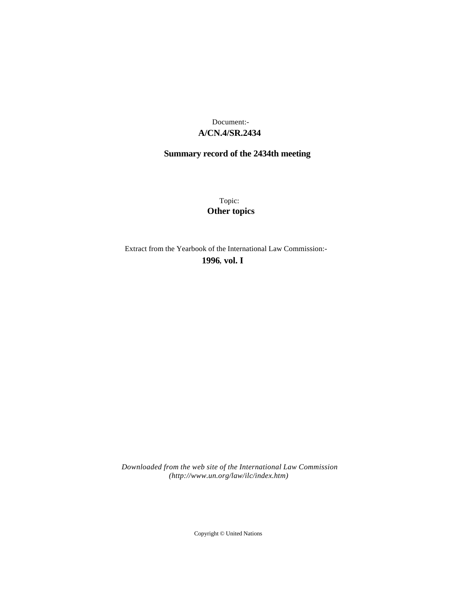# **A/CN.4/SR.2434** Document:-

# **Summary record of the 2434th meeting**

Topic: **Other topics**

Extract from the Yearbook of the International Law Commission:-

**1996** , **vol. I**

*Downloaded from the web site of the International Law Commission (http://www.un.org/law/ilc/index.htm)*

Copyright © United Nations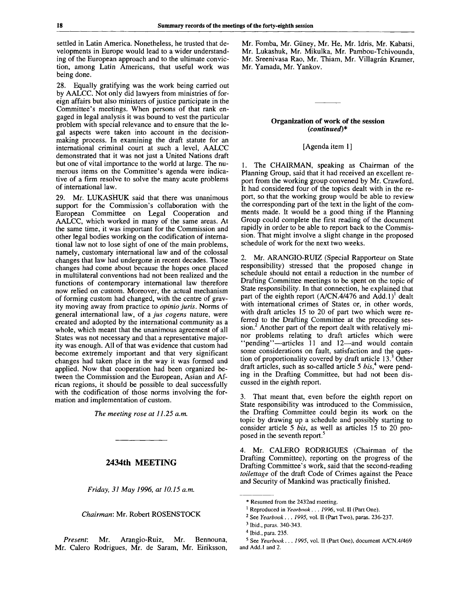settled in Latin America. Nonetheless, he trusted that developments in Europe would lead to a wider understanding of the European approach and to the ultimate conviction, among Latin Americans, that useful work was being done.

28. Equally gratifying was the work being carried out by AALCC. Not only did lawyers from ministries of foreign affairs but also ministers of justice participate in the Committee's meetings. When persons of that rank engaged in legal analysis it was bound to vest the particular problem with special relevance and to ensure that the legal aspects were taken into account in the decisionmaking process. In examining the draft statute for an international criminal court at such a level, AALCC demonstrated that it was not just a United Nations draft but one of vital importance to the world at large. The numerous items on the Committee's agenda were indicative of a firm resolve to solve the many acute problems of international law.

29. Mr. LUKASHUK said that there was unanimous support for the Commission's collaboration with the European Committee on Legal Cooperation and AALCC, which worked in many of the same areas. At the same time, it was important for the Commission and other legal bodies working on the codification of international law not to lose sight of one of the main problems, namely, customary international law and of the colossal changes that law had undergone in recent decades. Those changes had come about because the hopes once placed in multilateral conventions had not been realized and the functions of contemporary international law therefore now relied on custom. Moreover, the actual mechanism of forming custom had changed, with the centre of gravity moving away from practice to *opinio juris.* Norms of general international law, of a *jus cogens* nature, were created and adopted by the international community as a whole, which meant that the unanimous agreement of all States was not necessary and that a representative majority was enough. All of that was evidence that custom had become extremely important and that very significant changes had taken place in the way it was formed and applied. Now that cooperation had been organized between the Commission and the European, Asian and African regions, it should be possible to deal successfully with the codification of those norms involving the formation and implementation of custom.

*The meeting rose at 11.25 a.m.*

## **2434th MEETING**

*Friday, 31 May 1996, at 10.15 a.m.*

*Chairman:* Mr. Robert ROSENSTOCK

*Present:* Mr. Arangio-Ruiz, Mr. Bennouna, Mr. Calero Rodrigues, Mr. de Saram, Mr. Eiriksson,

Mr. Fomba, Mr. Giiney, Mr. He, Mr. Idris, Mr. Kabatsi, Mr. Lukashuk, Mr. Mikulka, Mr. Pambou-Tchivounda, Mr. Sreenivasa Rao, Mr. Thiam, Mr. Villagrán Kramer, Mr. Yamada, Mr. Yankov.

### **Organization of work of the session** *(continued)\**

## [Agenda item 1]

1. The CHAIRMAN, speaking as Chairman of the Planning Group, said that it had received an excellent report from the working group convened by Mr. Crawford. It had considered four of the topics dealt with in the report, so that the working group would be able to review the corresponding part of the text in the light of the comments made. It would be a good thing if the Planning Group could complete the first reading of the document rapidly in order to be able to report back to the Commission. That might involve a slight change in the proposed schedule of work for the next two weeks.

2. Mr. ARANGIO-RUIZ (Special Rapporteur on State responsibility) stressed that the proposed change in schedule should not entail a reduction in the number of Drafting Committee meetings to be spent on the topic of State responsibility. In that connection, he explained that part of the eighth report  $(A/CN.4/476$  and  $\text{Add.1})^1$  dealt with international crimes of States or, in other words, with draft articles 15 to 20 of part two which were referred to the Drafting Committee at the preceding session.<sup>2</sup> Another part of the report dealt with relatively minor problems relating to draft articles which were "pending"—articles 11 and 12—and would contain some considerations on fault, satisfaction and the question of proportionality covered by draft article  $13<sup>3</sup>$  Other draft articles, such as so-called article 5 *bis,<sup>4</sup>* were pending in the Drafting Committee, but had not been discussed in the eighth report.

3. That meant that, even before the eighth report on State responsibility was introduced to the Commission, the Drafting Committee could begin its work on the topic by drawing up a schedule and possibly starting to consider article 5 *bis,* as well as articles 15 to 20 proposed in the seventh report.<sup>5</sup>

4. Mr. CALERO RODRIGUES (Chairman of the Drafting Committee), reporting on the progress of the Drafting Committee's work, said that the second-reading *toilettage* of the draft Code of Crimes against the Peace and Security of Mankind was practically finished.

<sup>\*</sup> Resumed from the 2432nd meeting.

<sup>&</sup>lt;sup>1</sup> Reproduced in *Yearbook . . . 1996*, vol. II (Part One).

<sup>2</sup> See *Yearbook . . . 1995,* vol. II (Part Two), paras. 236-237.

<sup>3</sup> Ibid., paras. 340-343.

<sup>4</sup> Ibid., para. 235.

<sup>5</sup> See *Yearbook. . . 1995,* vol. II (Part One), document A/CN.4/469 and Add.l and 2.